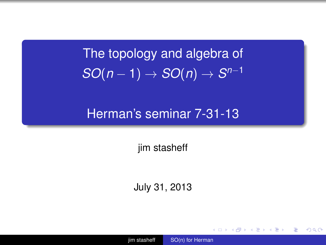The topology and algebra of  $SO(n-1) \rightarrow SO(n) \rightarrow S^{n-1}$ 

## Herman's seminar 7-31-13

jim stasheff

July 31, 2013

jim stasheff [SO\(n\) for Herman](#page-8-0)

**K ロ ▶ K 何 ▶ K ヨ ▶ K ヨ ▶** 

<span id="page-0-0"></span>重し  $QQ$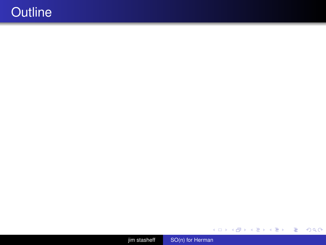## **Outline**

jim stasheff [SO\(n\) for Herman](#page-0-0)

K ロ > K 御 > K ミ > K ミ > 「ミ → の Q (V)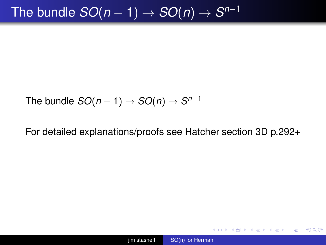The bundle  $SO(n-1)\to SO(n)\to S^{n-1}$ 

The bundle  $SO(n-1)\to SO(n)\to S^{n-1}$ 

For detailed explanations/proofs see Hatcher section 3D p.292+

KOD KAP KED KED E YA G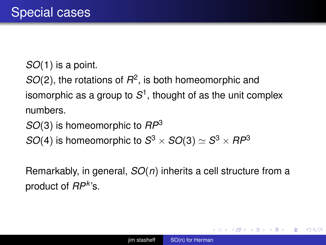*SO*(1) is a point.

 $SO(2)$ , the rotations of  $R^2$ , is both homeomorphic and isomorphic as a group to  $\mathcal{S}^1$ , thought of as the unit complex numbers.

*SO*(3) is homeomorphic to *RP*<sup>3</sup>

 $SO(4)$  is homeomorphic to  $S^3 \times SO(3) \simeq S^3 \times RP^3$ 

Remarkably, in general, *SO*(*n*) inherits a cell structure from a product of *RP<sup>k</sup>* 's.

イロト イ押 トイヨ トイヨ トー

 $\mathbb{R}^+$  $QQ$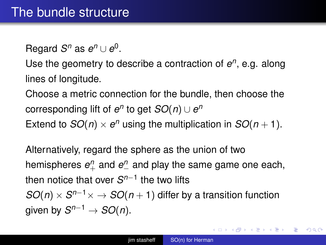Regard  $S^n$  as  $e^n \cup e^0$ .

Use the geometry to describe a contraction of  $e^n$ , e.g. along lines of longitude.

Choose a metric connection for the bundle, then choose the  $\mathsf{corresponding}\ \mathsf{lift}\ \mathsf{of}\ e^{n}$  to  $\mathsf{get}\ \mathsf{SO}(n)\cup e^{n}$ 

Extend to  $SO(n) \times e^n$  using the multiplication in  $SO(n+1)$ .

Alternatively, regard the sphere as the union of two hemispheres  $e_+^n$  and  $e_-^n$  and play the same game one each, then notice that over *S<sup>n−1</sup>* the two lifts  $SO(n) \times S^{n-1} \times \rightarrow SO(n+1)$  differ by a transition function given by  $S^{n-1} \to SO(n).$ 

K ロ > K @ > K 할 > K 할 > → 할 → ⊙ Q @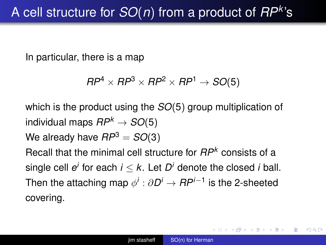In particular, there is a map

$$
RP^4 \times RP^3 \times RP^2 \times RP^1 \rightarrow SO(5)
$$

which is the product using the *SO*(5) group multiplication of individual maps  $RP^k \rightarrow SO(5)$ We already have  $RP^3 = SO(3)$ Recall that the minimal cell structure for *RP<sup>k</sup>* consists of a single cell  $e^i$  for each  $i \leq k$ . Let  $D^i$  denote the closed  $i$  ball. Then the attaching map  $\phi^i: \partial \bm{D}^i \rightarrow \bm{R}\bm{P}^{i-1}$  is the 2-sheeted covering.

 $\Rightarrow$ 

 $QQ$ 

K ロ ▶ K 御 ▶ K ヨ ▶ K ヨ ▶ ...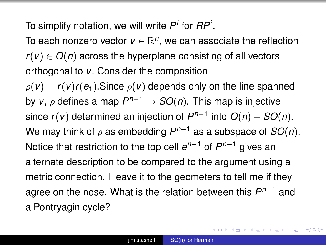To simplify notation, we will write *P i* for *RP<sup>i</sup>* .

To each nonzero vector  $v \in \mathbb{R}^n$ , we can associate the reflection  $r(v) \in O(n)$  across the hyperplane consisting of all vectors orthogonal to *v*. Consider the composition

 $\rho(\mathbf{v}) = r(\mathbf{v})r(\mathbf{e}_1)$ . Since  $\rho(\mathbf{v})$  depends only on the line spanned by *v*, ρ defines a map *P <sup>n</sup>*−<sup>1</sup> → *SO*(*n*). This map is injective since  $r(v)$  determined an injection of  $P^{n-1}$  into  $O(n) - SO(n)$ . We may think of  $\rho$  as embedding  $P^{n-1}$  as a subspace of  $SO(n).$ Notice that restriction to the top cell  $e^{n-1}$  of  $P^{n-1}$  gives an alternate description to be compared to the argument using a metric connection. I leave it to the geometers to tell me if they agree on the nose. What is the relation between this *P <sup>n</sup>*−<sup>1</sup> and a Pontryagin cycle?

イロト イ押 トイヨ トイヨ トー

G.

 $2Q$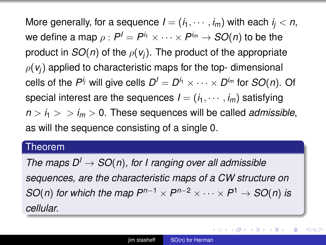More generally, for a sequence  $I=(i_1,\cdots,i_m)$  with each  $i_j < n,$  $\mathsf{w}\mathsf{e}\mathsf{d}\mathsf{e}\mathsf{f}$ ine  $\mathsf{a}\mathsf{m}\mathsf{a}\mathsf{p}\mathsf{p}\mathsf{p}\mathsf{i}\mathsf{P}^l = \mathsf{P}^{l_1}\times\dots\times\mathsf{P}^{l_m}\to\mathsf{SO}(n)$  to be the product in  $SO(n)$  of the  $\rho(v_i)$ . The product of the appropriate  $\rho(\mathbf{v}_i)$  applied to characteristic maps for the top- dimensional cells of the  $P^{\mathit{i}_j}$  will give cells  $D^{\mathit{l}} = D^{\mathit{i}_1} \times \cdots \times D^{\mathit{i}_m}$  for  $SO(n).$  Of special interest are the sequences  $I = (i_1, \dots, i_m)$  satisfying  $n > i_1 > i_m > 0$ . These sequences will be called *admissible*, as will the sequence consisting of a single 0.

## Theorem

*The maps*  $D^1 \rightarrow SO(n)$ *, for I ranging over all admissible sequences, are the characteristic maps of a CW structure on SO*(*n*) *for which the map*  $P^{n-1} \times P^{n-2} \times \cdots \times P^1 \to SO(n)$  *is cellular.*

 $\left\{ \begin{array}{ccc} 1 & 0 & 0 \\ 0 & 1 & 0 \end{array} \right.$ 

 $290$